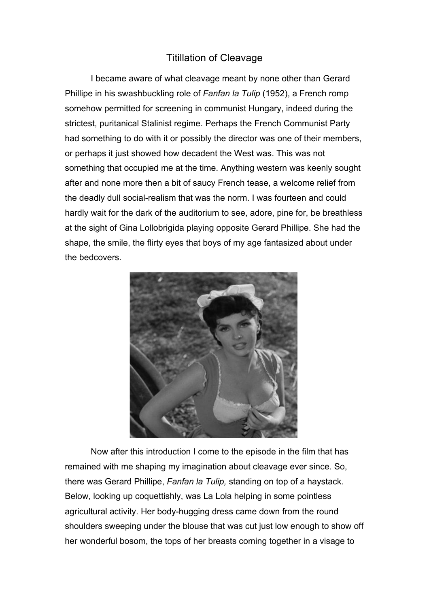## Titillation of Cleavage

I became aware of what cleavage meant by none other than Gerard Phillipe in his swashbuckling role of *Fanfan la Tulip* (1952), a French romp somehow permitted for screening in communist Hungary, indeed during the strictest, puritanical Stalinist regime. Perhaps the French Communist Party had something to do with it or possibly the director was one of their members, or perhaps it just showed how decadent the West was. This was not something that occupied me at the time. Anything western was keenly sought after and none more then a bit of saucy French tease, a welcome relief from the deadly dull social-realism that was the norm. I was fourteen and could hardly wait for the dark of the auditorium to see, adore, pine for, be breathless at the sight of Gina Lollobrigida playing opposite Gerard Phillipe. She had the shape, the smile, the flirty eyes that boys of my age fantasized about under the bedcovers.



Now after this introduction I come to the episode in the film that has remained with me shaping my imagination about cleavage ever since. So, there was Gerard Phillipe, *Fanfan la Tulip,* standing on top of a haystack. Below, looking up coquettishly, was La Lola helping in some pointless agricultural activity. Her body-hugging dress came down from the round shoulders sweeping under the blouse that was cut just low enough to show off her wonderful bosom, the tops of her breasts coming together in a visage to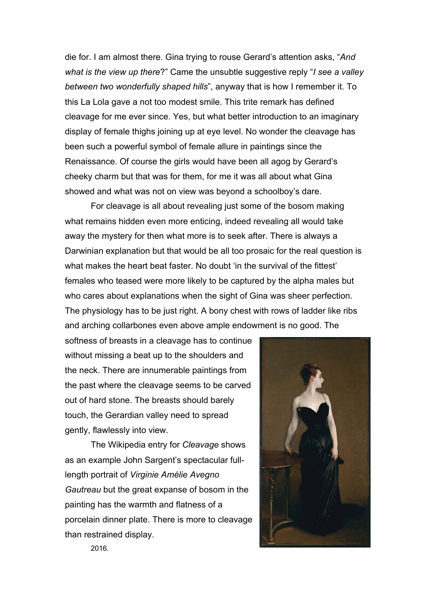die for. I am almost there. Gina trying to rouse Gerard's attention asks, "*And what is the view up there*?" Came the unsubtle suggestive reply "*I see a valley between two wonderfully shaped hills*", anyway that is how I remember it. To this La Lola gave a not too modest smile. This trite remark has defined cleavage for me ever since. Yes, but what better introduction to an imaginary display of female thighs joining up at eye level. No wonder the cleavage has been such a powerful symbol of female allure in paintings since the Renaissance. Of course the girls would have been all agog by Gerard's cheeky charm but that was for them, for me it was all about what Gina showed and what was not on view was beyond a schoolboy's dare.

For cleavage is all about revealing just some of the bosom making what remains hidden even more enticing, indeed revealing all would take away the mystery for then what more is to seek after. There is always a Darwinian explanation but that would be all too prosaic for the real question is what makes the heart beat faster. No doubt 'in the survival of the fittest' females who teased were more likely to be captured by the alpha males but who cares about explanations when the sight of Gina was sheer perfection. The physiology has to be just right. A bony chest with rows of ladder like ribs and arching collarbones even above ample endowment is no good. The

softness of breasts in a cleavage has to continue without missing a beat up to the shoulders and the neck. There are innumerable paintings from the past where the cleavage seems to be carved out of hard stone. The breasts should barely touch, the Gerardian valley need to spread gently, flawlessly into view.

The Wikipedia entry for *Cleavage* shows as an example John Sargent's spectacular fulllength portrait of *Virginie Amélie Avegno Gautreau* but the great expanse of bosom in the painting has the warmth and flatness of a porcelain dinner plate. There is more to cleavage than restrained display.



2016.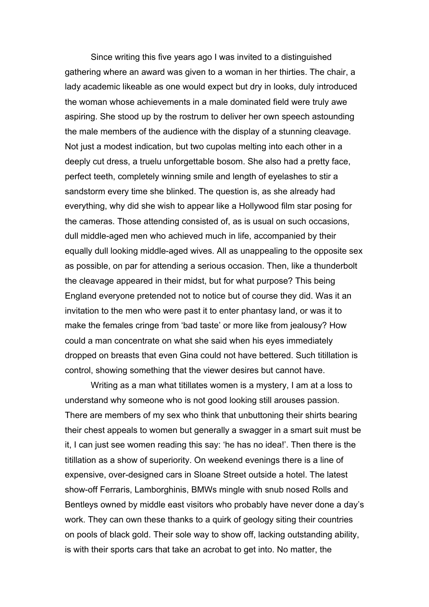Since writing this five years ago I was invited to a distinguished gathering where an award was given to a woman in her thirties. The chair, a lady academic likeable as one would expect but dry in looks, duly introduced the woman whose achievements in a male dominated field were truly awe aspiring. She stood up by the rostrum to deliver her own speech astounding the male members of the audience with the display of a stunning cleavage. Not just a modest indication, but two cupolas melting into each other in a deeply cut dress, a truelu unforgettable bosom. She also had a pretty face, perfect teeth, completely winning smile and length of eyelashes to stir a sandstorm every time she blinked. The question is, as she already had everything, why did she wish to appear like a Hollywood film star posing for the cameras. Those attending consisted of, as is usual on such occasions, dull middle-aged men who achieved much in life, accompanied by their equally dull looking middle-aged wives. All as unappealing to the opposite sex as possible, on par for attending a serious occasion. Then, like a thunderbolt the cleavage appeared in their midst, but for what purpose? This being England everyone pretended not to notice but of course they did. Was it an invitation to the men who were past it to enter phantasy land, or was it to make the females cringe from 'bad taste' or more like from jealousy? How could a man concentrate on what she said when his eyes immediately dropped on breasts that even Gina could not have bettered. Such titillation is control, showing something that the viewer desires but cannot have.

Writing as a man what titillates women is a mystery, I am at a loss to understand why someone who is not good looking still arouses passion. There are members of my sex who think that unbuttoning their shirts bearing their chest appeals to women but generally a swagger in a smart suit must be it, I can just see women reading this say: 'he has no idea!'. Then there is the titillation as a show of superiority. On weekend evenings there is a line of expensive, over-designed cars in Sloane Street outside a hotel. The latest show-off Ferraris, Lamborghinis, BMWs mingle with snub nosed Rolls and Bentleys owned by middle east visitors who probably have never done a day's work. They can own these thanks to a quirk of geology siting their countries on pools of black gold. Their sole way to show off, lacking outstanding ability, is with their sports cars that take an acrobat to get into. No matter, the